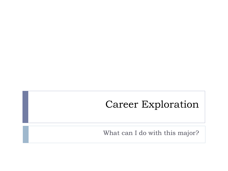### Career Exploration

What can I do with this major?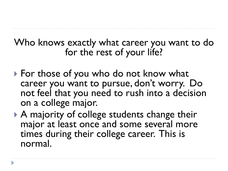#### Who knows exactly what career you want to do for the rest of your life?

- ▶ For those of you who do not know what career you want to pursue, don't worry. Do not feel that you need to rush into a decision on a college major.
- A majority of college students change their major at least once and some several more times during their college career. This is normal.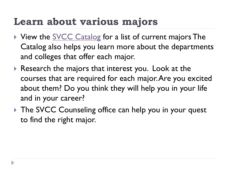### **Learn about various majors**

- View the **[SVCC Catalog](http://catalog.svcc.edu/content.php?catoid=7&navoid=221)** for a list of current majors The Catalog also helps you learn more about the departments and colleges that offer each major.
- ▶ Research the majors that interest you. Look at the courses that are required for each major. Are you excited about them? Do you think they will help you in your life and in your career?
- ▶ The SVCC Counseling office can help you in your quest to find the right major.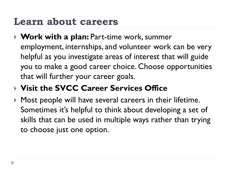### **Learn about careers**

 **Work with a plan:** Part-time work, summer employment, internships, and volunteer work can be very helpful as you investigate areas of interest that will guide you to make a good career choice. Choose opportunities that will further your career goals.

#### **Visit the SVCC Career Services Office**

**Most people will have several careers in their lifetime.** Sometimes it's helpful to think about developing a set of skills that can be used in multiple ways rather than trying to choose just one option.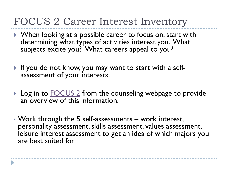### FOCUS 2 Career Interest Inventory

- ▶ When looking at a possible career to focus on, start with determining what types of activities interest you. What subjects excite you? What careers appeal to you?
- If you do not know, you may want to start with a selfassessment of your interests.
- ▶ Log in to [FOCUS 2](https://www.svcc.edu/students/counseling/focus.html) from the counseling webpage to provide an overview of this information.
- Work through the 5 self-assessments work interest, personality assessment, skills assessment, values assessment, leisure interest assessment to get an idea of which majors you are best suited for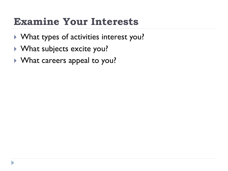## **Examine Your Interests**

- What types of activities interest you?
- ▶ What subjects excite you?
- What careers appeal to you?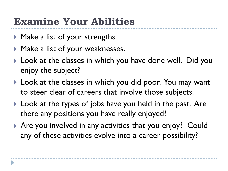# **Examine Your Abilities**

- ▶ Make a list of your strengths.
- ▶ Make a list of your weaknesses.
- ▶ Look at the classes in which you have done well. Did you enjoy the subject?
- ▶ Look at the classes in which you did poor. You may want to steer clear of careers that involve those subjects.
- ▶ Look at the types of jobs have you held in the past. Are there any positions you have really enjoyed?
- ▶ Are you involved in any activities that you enjoy? Could any of these activities evolve into a career possibility?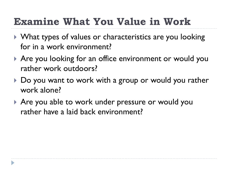# **Examine What You Value in Work**

- ▶ What types of values or characteristics are you looking for in a work environment?
- ▶ Are you looking for an office environment or would you rather work outdoors?
- ▶ Do you want to work with a group or would you rather work alone?
- ▶ Are you able to work under pressure or would you rather have a laid back environment?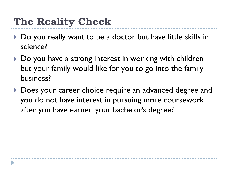# **The Reality Check**

- Do you really want to be a doctor but have little skills in science?
- ▶ Do you have a strong interest in working with children but your family would like for you to go into the family business?
- ▶ Does your career choice require an advanced degree and you do not have interest in pursuing more coursework after you have earned your bachelor's degree?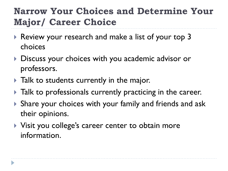#### **Narrow Your Choices and Determine Your Major/ Career Choice**

- Review your research and make a list of your top 3 choices
- ▶ Discuss your choices with you academic advisor or professors.
- Talk to students currently in the major.
- $\blacktriangleright$  Talk to professionals currently practicing in the career.
- Share your choices with your family and friends and ask their opinions.
- ▶ Visit you college's career center to obtain more information.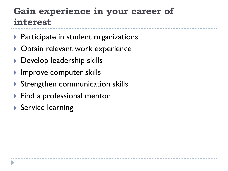#### **Gain experience in your career of interest**

- $\triangleright$  Participate in student organizations
- ▶ Obtain relevant work experience
- ▶ Develop leadership skills
- ▶ Improve computer skills
- Strengthen communication skills
- ▶ Find a professional mentor
- ▶ Service learning